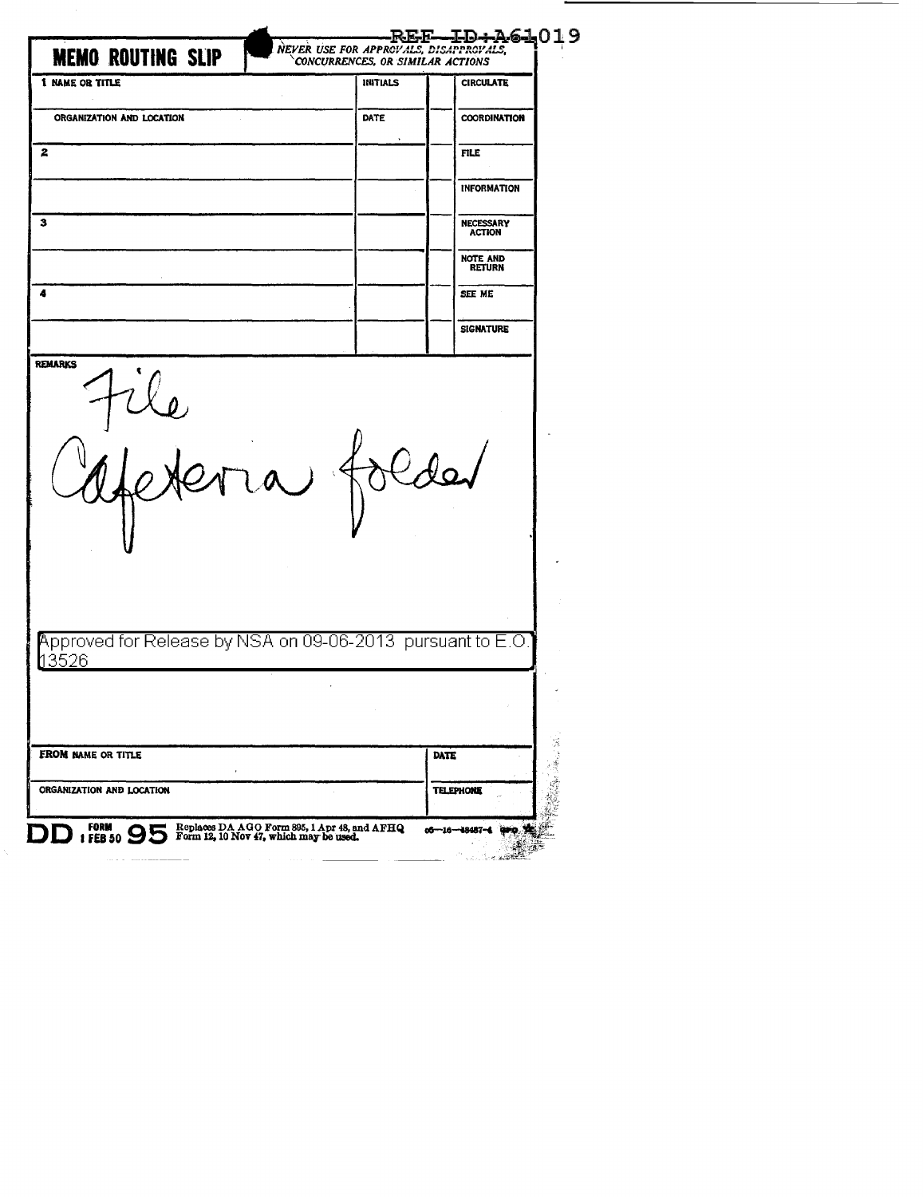| <b>MEMO ROUTING SLIP</b>                                                   | NEVER USE FOR APPROVALS, DISAPPROVALS,<br>CONCURRENCES, OR SIMILAR ACTIONS | REF-ID+A61019                     |
|----------------------------------------------------------------------------|----------------------------------------------------------------------------|-----------------------------------|
| <b>1 NAME OR TITLE</b>                                                     | <b>INITIALS</b>                                                            | <b>CIRCULATE</b>                  |
| ORGANIZATION AND LOCATION                                                  | <b>DATE</b>                                                                | <b>COORDINATION</b>               |
| $\mathbf{z}$                                                               |                                                                            | <b>FILE</b>                       |
|                                                                            |                                                                            | <b>INFORMATION</b>                |
| з                                                                          |                                                                            | <b>NECESSARY</b><br><b>ACTION</b> |
|                                                                            |                                                                            | <b>NOTE AND</b><br><b>RETURN</b>  |
| 4                                                                          |                                                                            | SEE ME                            |
|                                                                            |                                                                            | <b>SIGNATURE</b>                  |
| $\mathbf{A}^{\text{max}}$                                                  | $\rightarrow$                                                              |                                   |
|                                                                            |                                                                            |                                   |
| Approved for Release by NSA on 09-06-2013 pursuant to E.O.<br><u>13526</u> |                                                                            |                                   |
| FROM NAME OR TITLE                                                         |                                                                            | DATE                              |

DD : FEB 50 95 Form 12, 10 Nov 47, which may be used.

 $06 - 16 - 18487 - 4$ J.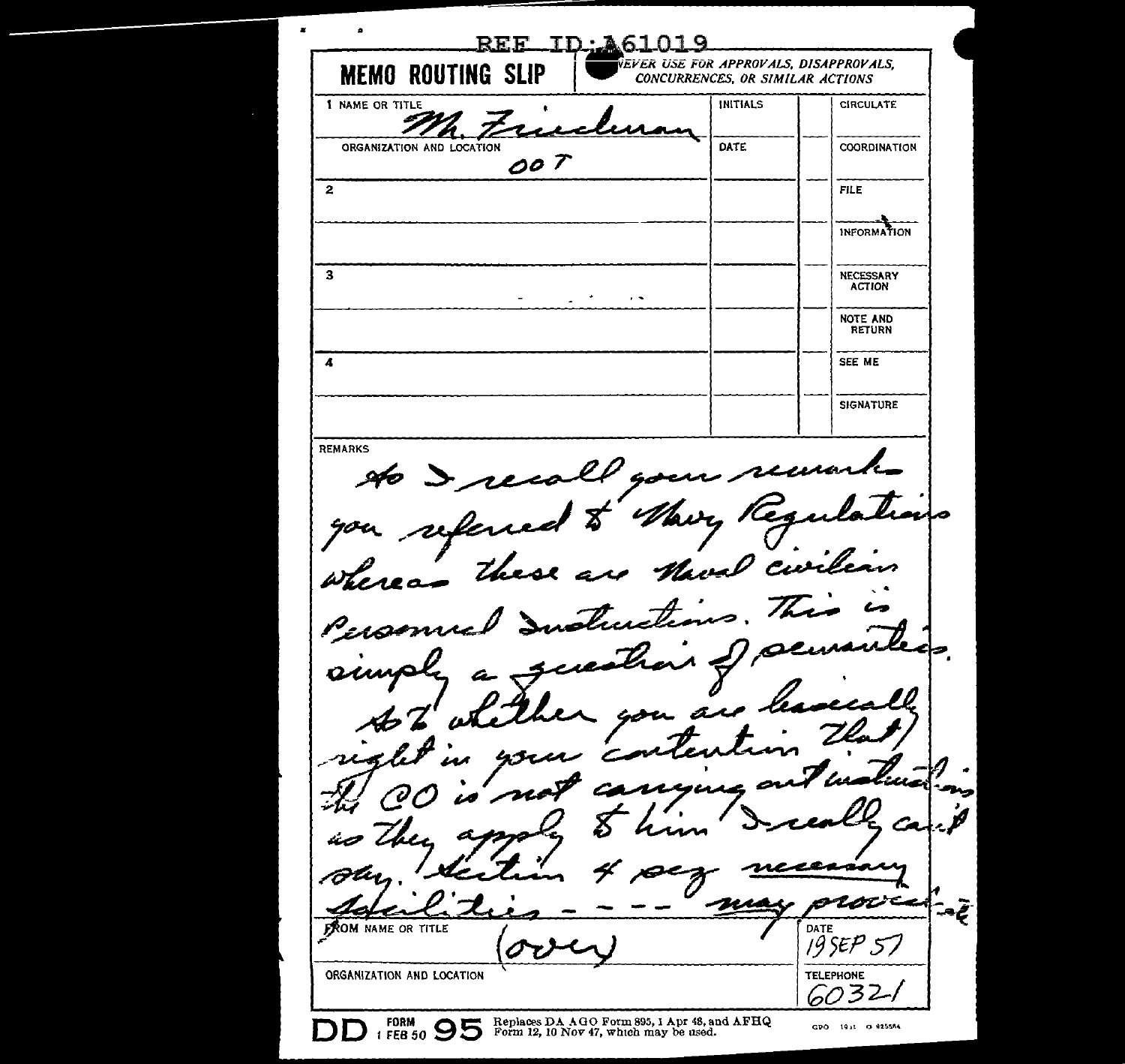REE ID: 461019 .<br>Vever use for approvals, disapprovals, **MEMO ROUTING SLIP** CONCURRENCES. OR SIMILAR ACTIONS 1 NAME OR TITLE INITIALS **CIRCULATE** ORGANIZATION AND LOCATION DATE COORDINATION  $007$ 5 Fit F INFORMATION  $\overline{\mathbf{a}}$ NECESSARY ACTION  $\ddot{\phantom{0}}$ NOTE AND SEE ME  $\overline{A}$ **SIGNATURE REMARKS** to I recall your remon Mary Regu referred \$ nal curiles These are the whereas Justi  $\boldsymbol{\mathcal{L}}$ Personne بصصر  $\boldsymbol{\mathcal{U}}$ `c ø roc تجعت **FROM NAME OR TITLE** DATE  $195EP57$ **TELEPHONE** ORGANIZATION AND LOCATION 603 Replaces DA AGO Form 895, 1 Apr 48, and AFHQ<br>Form 12, 10 Nov 47, which may be used. **FORM**  $T$  FEB 50  $95$ GPO 19st O-925564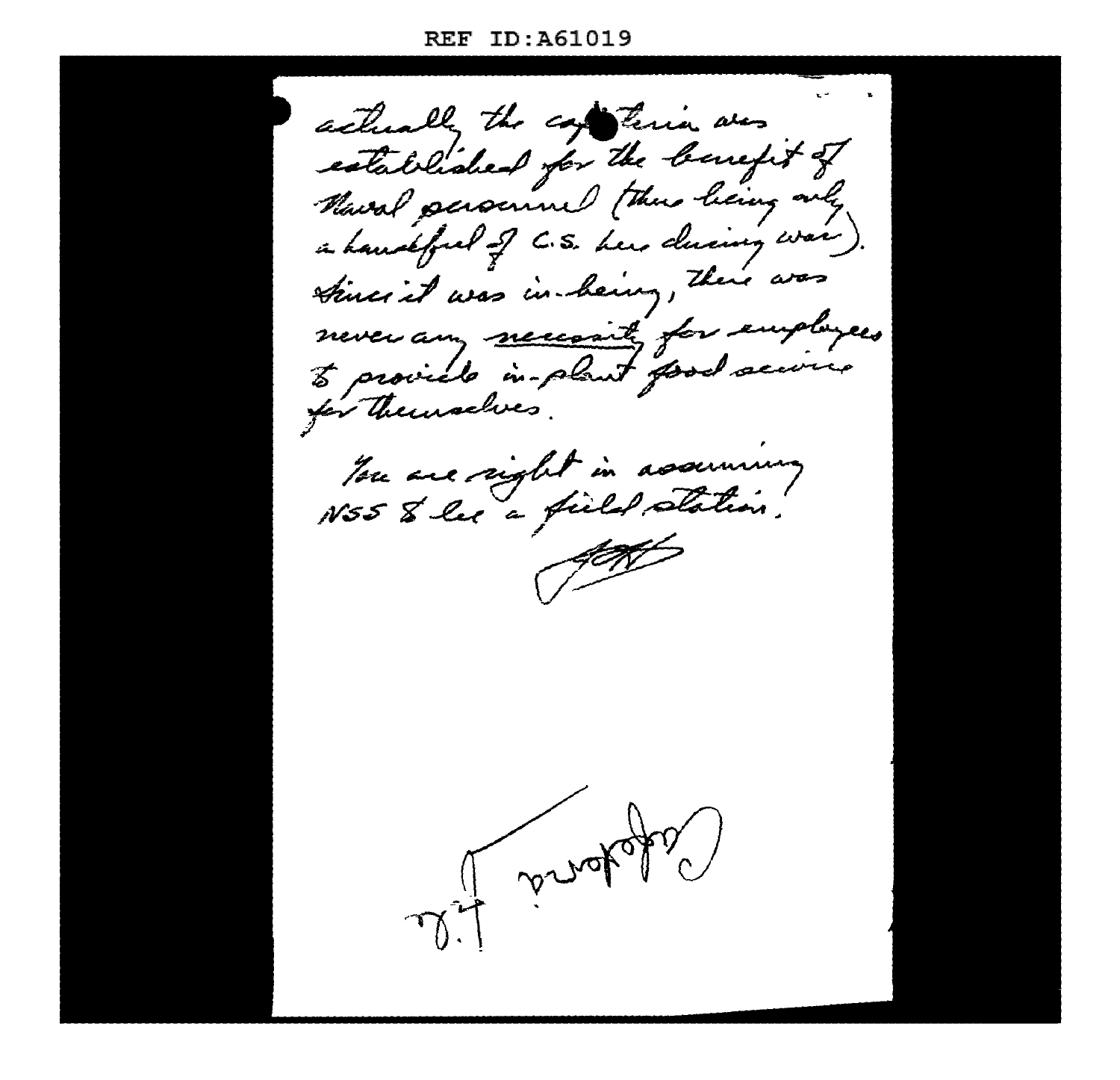ID: A61019 **REF** 

actually the contenio was established for the benefit of Marcal personnel (thus living only a handful of C.S. here during was times it was in-heiry, there was never any meccanity for employees for Themselves. Tou are sight in assuming NSS & les a field station. of concepts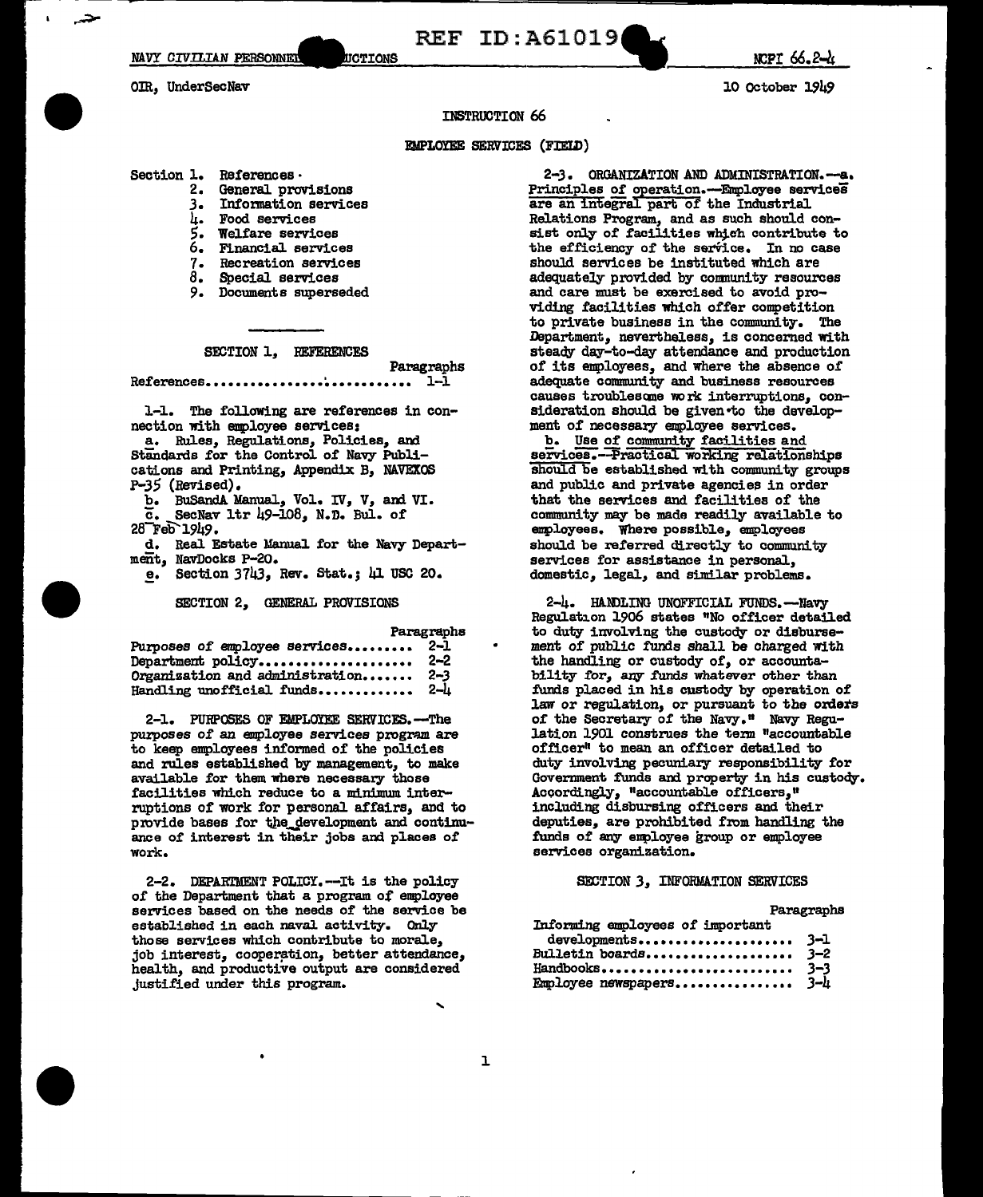**REF ID: A61019** 

NCPI 66.2-4

10 October 1949

OIR. UnderSecNav

**INSTRUCTION 66** 

### **EMPLOYEE SERVICES (FIELD)**

- Section 1. References.
	- $2.$ General provisions Information services

UCTIONS

- $3<sub>1</sub>$
- Food services 4. **Welfare services**
- 5. Financial services 6.
- $7 -$ Recreation services
- ġ. Special services
- Documents superseded 9.
- 

SECTION 1. REFERENCES

Paragraphs References................  $1 - 1$ ...........

1-1. The following are references in connection with employee services:

- a. Rules, Regulations, Policies, and Standards for the Control of Navy Publications and Printing, Appendix B, NAVEXOS P-35 (Revised).
	- b. BuSandA Manual, Vol. IV, V, and VI.
	- SecNav 1tr 49-108, N.D. Bul. of ō.
- 28 Геб 1949.
- d. Real Estate Manual for the Navy Department, NavDocks P-20.
	- e. Section  $3743$ , Rev. Stat.;  $\mu$ I USC 20.

SECTION 2. GENERAL PROVISIONS

Paragraphs

| Purposes of employee services   | -2-1    |
|---------------------------------|---------|
| Department policy               | $2 - 2$ |
| Organization and administration | $2 - 3$ |
| Handling unofficial funds       | 2–h     |

2-1. PURPOSES OF EMPLOYEE SERVICES.-The purposes of an employee services program are to keep employees informed of the policies and rules established by management, to make available for them where necessary those facilities which reduce to a minimum interruptions of work for personal affairs, and to provide bases for the development and continuance of interest in their jobs and places of work.

2-2. DEPARTMENT POLICY. -- It is the policy of the Department that a program of employee services based on the needs of the service be established in each naval activity. Only those services which contribute to morale, job interest, cooperation, better attendance, health, and productive output are considered justified under this program.

2-3. ORGANIZATION AND ADMINISTRATION.-- a. Principles of operation.--Employee services are an integral part of the Industrial Relations Program, and as such should consist only of facilities which contribute to the efficiency of the service. In no case should services be instituted which are adequately provided by community resources and care must be exercised to avoid providing facilities which offer competition to private business in the community. The Department, nevertheless, is concerned with steady day-to-day attendance and production of its employees, and where the absence of adequate community and business resources causes troublesome work interruptions, consideration should be given to the development of necessary employee services.

b. Use of community facilities and services.--Practical working relationships should be established with community groups and public and private agencies in order that the services and facilities of the community may be made readily available to employees. Where possible, employees should be referred directly to community services for assistance in personal. domestic, legal, and similar problems.

2-4. HANDLING UNOFFICIAL FUNDS.-Navy Regulation 1906 states "No officer detailed to duty involving the custody or disbursement of public funds shall be charged with the handling or custody of, or accountability for, any funds whatever other than funds placed in his custody by operation of law or regulation, or pursuant to the orders of the Secretary of the Navy." Navy Regulation 1901 construes the term "accountable officer<sup>#</sup> to mean an officer detailed to duty involving pecuniary responsibility for Government funds and property in his custody. Accordingly, "accountable officers," including disbursing officers and their deputies, are prohibited from handling the funds of any employee group or employee services organization.

### SECTION 3, INFORMATION SERVICES

Paragraphs

| Informing employees of important |  |
|----------------------------------|--|
| developments 3-1                 |  |
| Bulletin boards $3-2$            |  |
|                                  |  |
| Employee newspapers 3-4          |  |

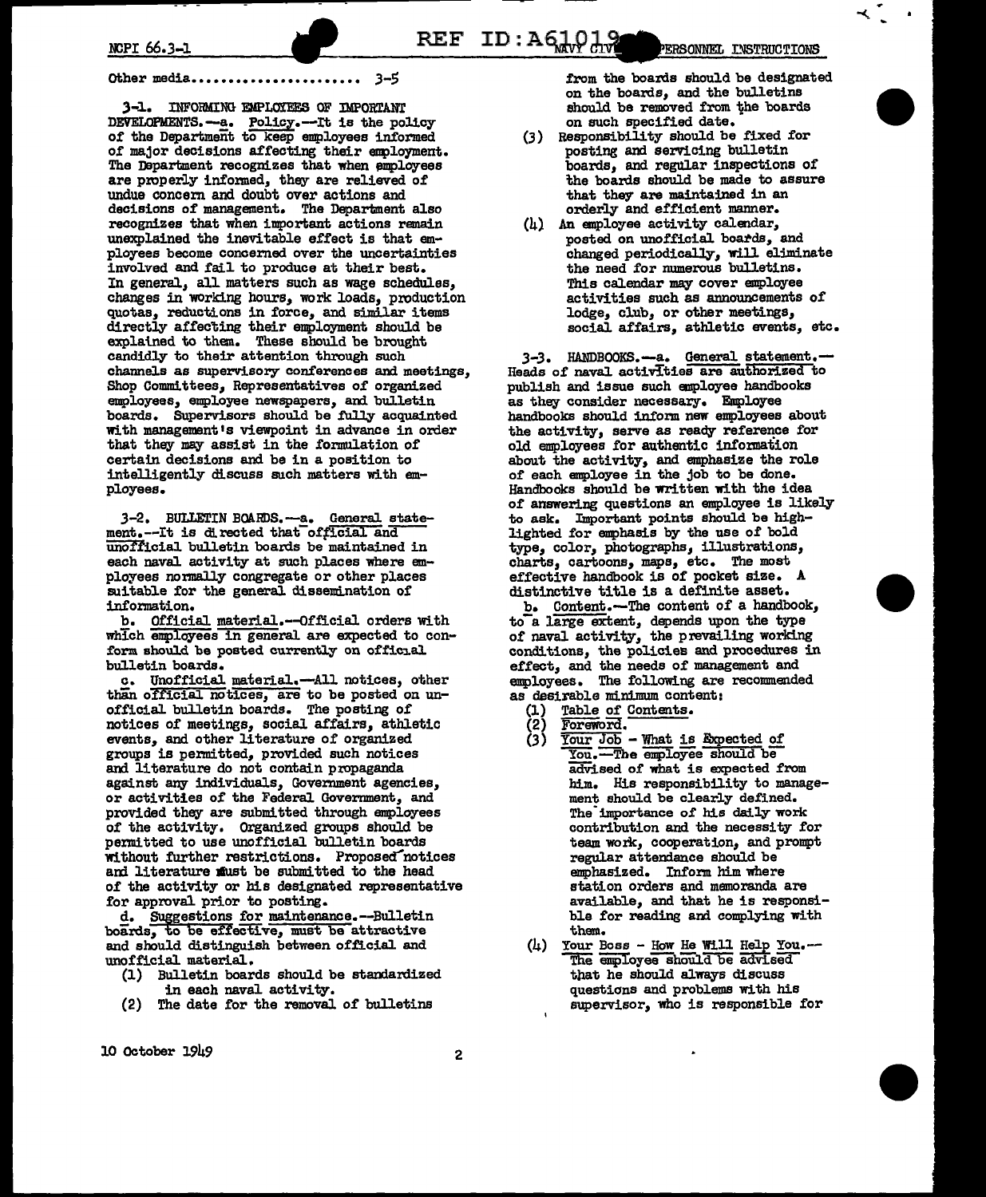#### 3-5 Other media.

3-1. INFORMING EMPLOYEES OF IMPORTANT DEVELOPMENTS.--- a. Policy.--- It is the policy of the Department to keep employees informed of major decisions affecting their employment. The Department recognizes that when employees are properly informed, they are relieved of undue concern and doubt over actions and decisions of management. The Department also recognizes that when important actions remain unexplained the inevitable effect is that employees become concerned over the uncertainties involved and fail to produce at their best. In general, all matters such as wage schedules, changes in working hours, work loads, production quotas, reductions in force, and similar items directly affecting their employment should be explained to them. These should be brought candidly to their attention through such channels as supervisory conferences and meetings. Shop Committees, Representatives of organized employees, employee newspapers, and bulletin boards. Supervisors should be fully acquainted with management's viewpoint in advance in order that they may assist in the formulation of certain decisions and be in a position to intelligently discuss such matters with employees.

3-2. BULLETIN BOARDS.--a. General statement.--It is directed that official and unofficial bulletin boards be maintained in each naval activity at such places where employees normally congregate or other places suitable for the general dissemination of information.

b. Official material.--Official orders with which employees in general are expected to conform should be posted currently on official bulletin boards.

c. Unofficial material.-All notices, other than official notices, are to be posted on unofficial bulletin boards. The posting of notices of meetings, social affairs, athletic events, and other literature of organized groups is permitted, provided such notices and literature do not contain propaganda against any individuals, Government agencies, or activities of the Federal Government, and provided they are submitted through employees of the activity. Organized groups should be permitted to use unofficial bulletin boards without further restrictions. Proposed notices and literature must be submitted to the head of the activity or his designated representative for approval prior to posting.

d. Suggestions for maintenance.--Bulletin boards, to be effective, must be attractive and should distinguish between official and unofficial material.

- (1) Bulletin boards should be standardized in each naval activity.
- The date for the removal of bulletins  $(2)$

from the boards should be designated on the boards, and the bulletins should be removed from the boards on such specified date.

- (3) Responsibility should be fixed for posting and servicing bulletin boards, and regular inspections of the boards should be made to assure that they are maintained in an orderly and efficient manner.
- $(h)$  An employee activity calendar, posted on unofficial boards, and changed periodically, will eliminate the need for numerous bulletins. This calendar may cover employee activities such as announcements of lodge, club, or other meetings, social affairs, athletic events, etc.

3-3. HANDBOOKS.--a. General statement.-Heads of naval activities are authorized to publish and issue such employee handbooks as they consider necessary. Employee handbooks should inform new employees about the activity, serve as ready reference for old employees for authentic information about the activity, and emphasize the role of each employee in the job to be done. Handbooks should be written with the idea of answering questions an employee is likely to ask. Important points should be highlighted for emphasis by the use of bold type, color, photographs, illustrations, charts, cartoons, maps, etc. The most effective handbook is of pocket size. A distinctive title is a definite asset.

b. Content.--The content of a handbook, to a large extent, depends upon the type of naval activity, the prevailing working conditions, the policies and procedures in effect, and the needs of management and employees. The following are recommended as desirable minimum content:

- Table of Contents. (1)
- (2) Foreword.
- Your Job What is Expected of  $(3)$ You. The employee should be advised of what is expected from him. His responsibility to management should be clearly defined. The importance of his daily work contribution and the necessity for team work, cooperation, and prompt regular attendance should be emphasized. Inform him where station orders and memoranda are available, and that he is responsible for reading and complying with them.
- $(1)$  Your Boss How He Will Help You. The employee should be advised that he should always discuss questions and problems with his supervisor, who is responsible for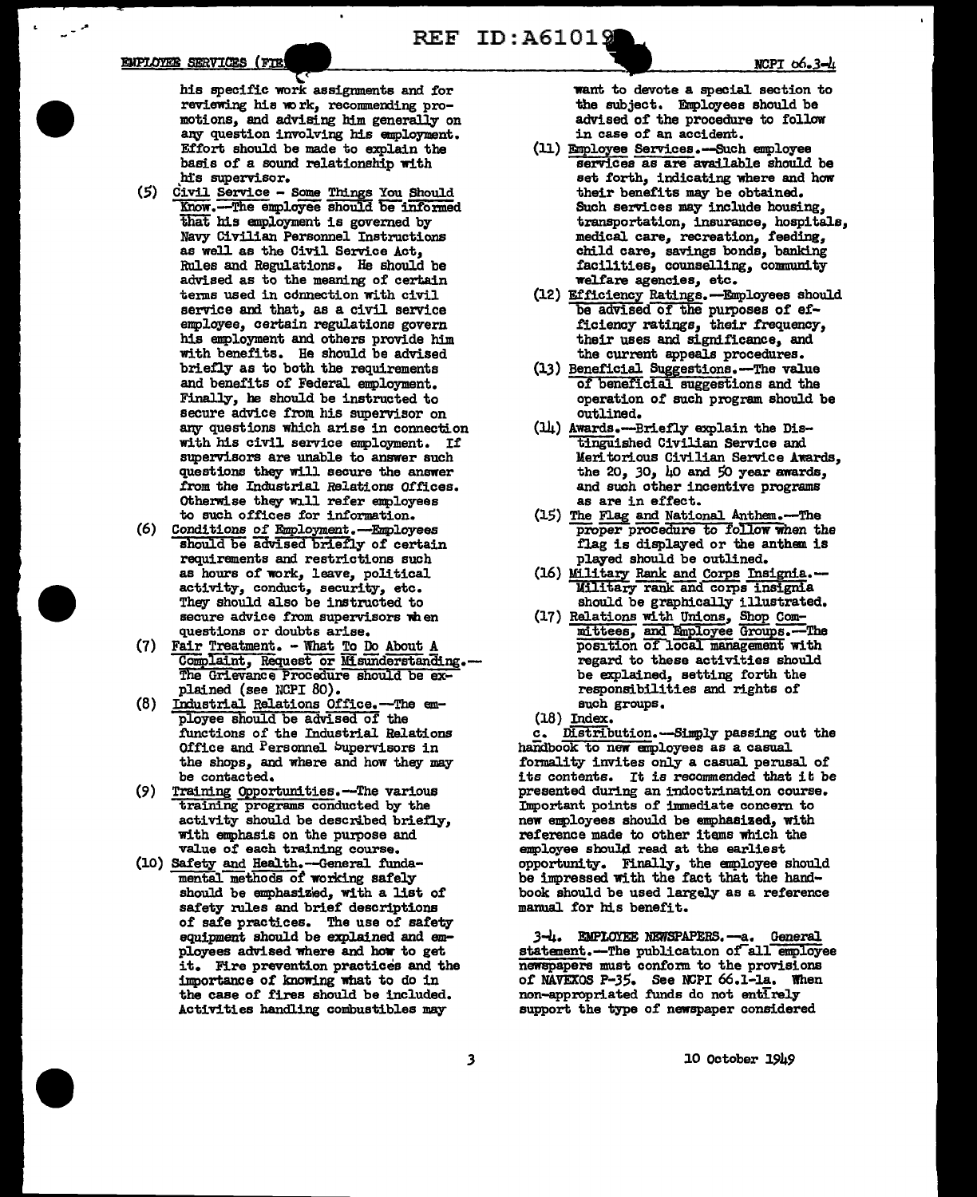المراب

his specific work assignments and for reviewing his work, recommending promotions, and advising him generally on any question involving his employment. Effort should be made to explain the basis of a sound relationship with his supervisor.

- (5) Civil Service Some Things You Should -The employee should be informed Know that his employment is governed by Navy Civilian Personnel Instructions as well as the Civil Service Act, Rules and Regulations. He should be advised as to the meaning of certain terms used in connection with civil service and that, as a civil service employee, certain regulations govern his employment and others provide him with benefits. He should be advised briefly as to both the requirements and benefits of Federal employment. Finally, he should be instructed to secure advice from his supervisor on any questions which arise in connection with his civil service employment. If supervisors are unable to answer such questions they will secure the answer from the Industrial Relations Offices. Otherwise they will refer employees to such offices for information.
- (6) Conditions of Employment.-Employees should be advised briefly of certain requirements and restrictions such as hours of work, leave, political activity, conduct, security, etc. They should also be instructed to secure advice from supervisors when questions or doubts arise.
- (7) Fair Treatment. What To Do About / Complaint, Request or Misunderstanding. The Grievance Procedure should be explained (see NCPI 80).
- (8) Industrial Relations Office.-The employee should be advised of the functions of the Industrial Relations Office and Personnel Supervisors in the shops, and where and how they may be contacted.
- (9) Training Opportunities.-The various training programs conducted by the activity should be described briefly, with emphasis on the purpose and value of each training course.
- (10) Safety and Health.-General funda-<br>mental methods of working safely should be emphasized, with a list of safety rules and brief descriptions of safe practices. The use of safety equipment should be explained and employees advised where and how to get it. Fire prevention practices and the importance of knowing what to do in the case of fires should be included. Activities handling combustibles may

want to devote a special section to the subject. Employees should be advised of the procedure to follow in case of an accident.

- (11) Employee Services.-Such employee services as are available should be set forth, indicating where and how their benefits may be obtained. Such services may include housing. transportation, insurance, hospitals, medical care, recreation, feeding, child care, savings bonds, banking facilities, counselling, community welfare agencies, etc.
- (12) Efficiency Ratings. -- Employees should be advised of the purposes of efficiency ratings, their frequency, their uses and significance, and the current appeals procedures.
- (13) Beneficial Suggestions.-The value of beneficial suggestions and the operation of such program should be outlined.
- (14) Awards.---Briefly explain the Distinguished Civilian Service and Meritorious Civilian Service Awards, the 20, 30,  $\mu$ 0 and 50 year awards, and such other incentive programs as are in effect.
- (15) The Flag and National Anthem.-The proper procedure to follow when the flag is displayed or the anthem is played should be outlined.
- (16) Military Rank and Corps Insignia.-Military rank and corps insignia should be graphically illustrated.
- (17) Relations with Unions, Shop Composition of local management with regard to these activities should be explained, setting forth the responsibilities and rights of such groups.
- $(18)$  Index.

c. Distribution.-Simply passing out the handbook to new employees as a casual formality invites only a casual perusal of its contents. It is recommended that it be presented during an indoctrination course. Important points of immediate concern to new employees should be emphasized, with reference made to other items which the employee should read at the earliest opportunity. Finally, the employee should be impressed with the fact that the handbook should be used largely as a reference manual for his benefit.

3-4. EMPLOYEE NEWSPAPERS.-a. General statement.-The publication of all employee newspapers must conform to the provisions of NAVEXOS P-35. See NCPI 66.1-1a. When non-appropriated funds do not entirely support the type of newspaper considered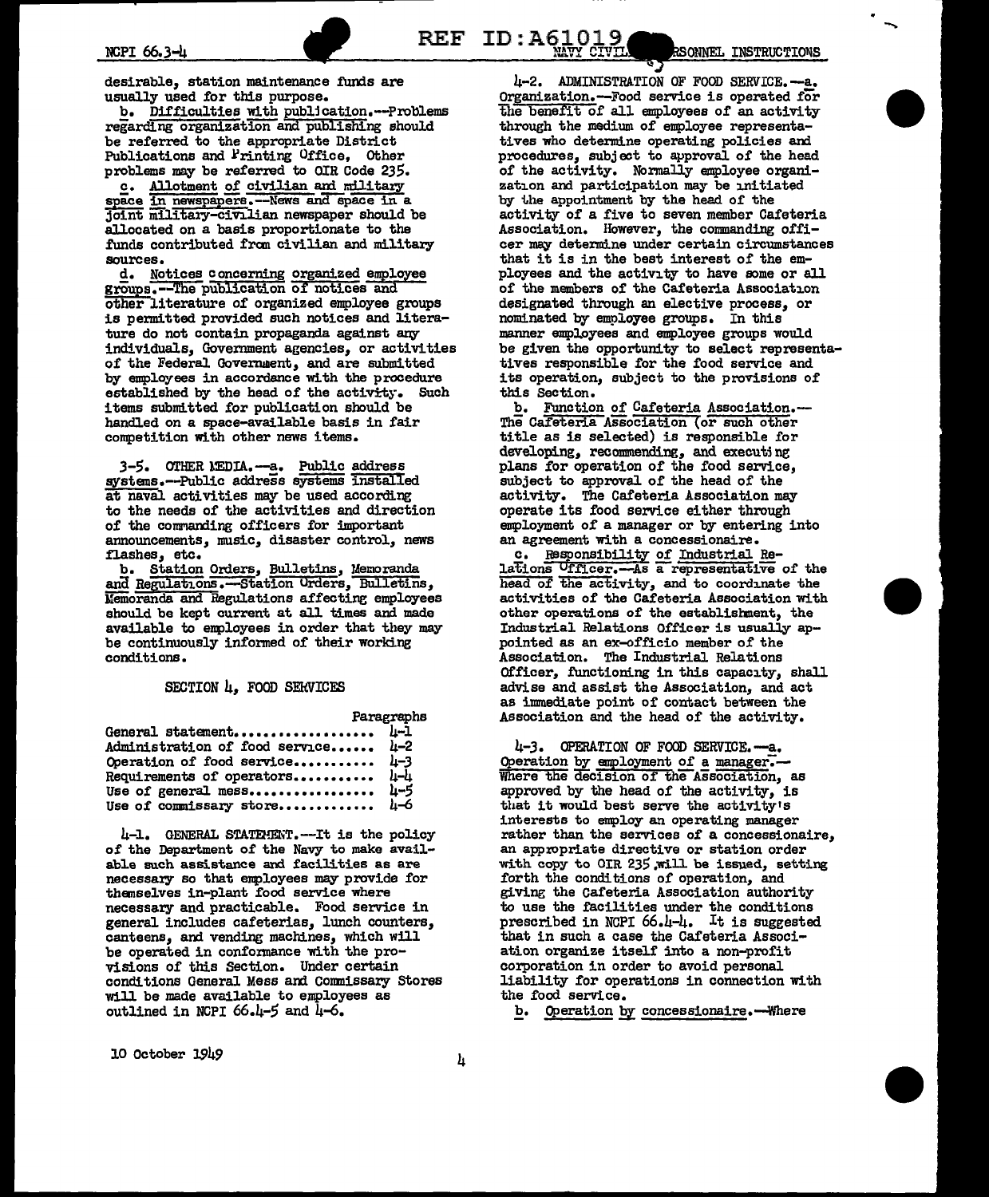desirable, station maintenance funds are usually used for this purpose.

b. Difficulties with publication.---Problems regarding organization and publishing should be referred to the appropriate District Publications and Frinting Office, Other problems may be referred to OIR Code 235.

c. Allotment of civilian and military space in newspapers. -- News and space in a Joint military-civilian newspaper should be allocated on a basis proportionate to the funds contributed from civilian and military sources.

d. Notices concerning organized employee groups.--The publication of notices and other literature of organized employee groups is permitted provided such notices and literature do not contain propaganda against any individuals, Government agencies, or activities of the Federal Government, and are submitted by employees in accordance with the procedure established by the head of the activity. Such items submitted for publication should be handled on a space-available basis in fair competition with other news items.

3-5. OTHER MEDIA.-a. Public address systems.--Public address systems installed at naval activities may be used according to the needs of the activities and direction of the commanding officers for important announcements, music, disaster control, news flashes, etc.

b. Station Orders, Bulletins, Memoranda and Regulations.-Station Orders, Bulletins, Memoranda and Regulations affecting employees should be kept current at all times and made available to employees in order that they may be continuously informed of their working conditions.

### SECTION 4, FOOD SERVICES

Paragraphs

| General statement 4-1               |  |
|-------------------------------------|--|
| Administration of food service 4-2  |  |
| Operation of food service 4-3       |  |
| Requirements of operators $\mu-\mu$ |  |
| Use of general mess 4-5             |  |
| Use of commissary store $\mu$ -6    |  |

4-1. GENERAL STATEMENT. -- It is the policy of the Department of the Navy to make available such assistance and facilities as are necessary so that employees may provide for themselves in-plant food service where necessary and practicable. Food service in general includes cafeterias, lunch counters, canteens, and vending machines, which will be operated in conformance with the provisions of this Section. Under certain conditions General Mess and Commissary Stores will be made available to employees as outlined in NCPI 66.4-5 and 4-6.

4-2. ADMINISTRATION OF FOOD SERVICE.-- a. Organization.--Food service is operated for the benefit of all employees of an activity through the medium of employee representatives who determine operating policies and procedures, subject to approval of the head of the activity. Normally employee organization and participation may be initiated by the appointment by the head of the activity of a five to seven member Cafeteria Association. However, the commanding officer may determine under certain circumstances that it is in the best interest of the employees and the activity to have some or all of the members of the Cafeteria Association designated through an elective process, or nominated by employee groups. In this manner employees and employee groups would be given the opportunity to select representatives responsible for the food service and its operation, subject to the provisions of this Section.

**REF ID:A61019** 

b. Function of Cafeteria Association.-The Cafeteria Association (or such other title as is selected) is responsible for developing, recommending, and executing plans for operation of the food service, subject to approval of the head of the activity. The Cafeteria Association may operate its food service either through employment of a manager or by entering into an agreement with a concessionaire.

c. Responsibility of Industrial Re-<br>lations Ufficer.--As a representative of the head of the activity, and to coordinate the activities of the Cafeteria Association with other operations of the establishment, the Industrial Relations Officer is usually appointed as an ex-officio member of the Association. The Industrial Relations Officer, functioning in this capacity, shall advise and assist the Association, and act as immediate point of contact between the Association and the head of the activity.

4-3. OPERATION OF FOOD SERVICE.-a. Operation by employment of a manager.-Where the decision of the Association, as approved by the head of the activity, is that it would best serve the activity's interests to employ an operating manager rather than the services of a concessionaire. an appropriate directive or station order with copy to OIR 235 will be issued, setting forth the conditions of operation, and giving the Cafeteria Association authority to use the facilities under the conditions prescribed in NCPI 66.4-4. It is suggested that in such a case the Cafeteria Association organize itself into a non-profit corporation in order to avoid personal liability for operations in connection with the food service.

b. Operation by concessionaire.--Where

10 October 1949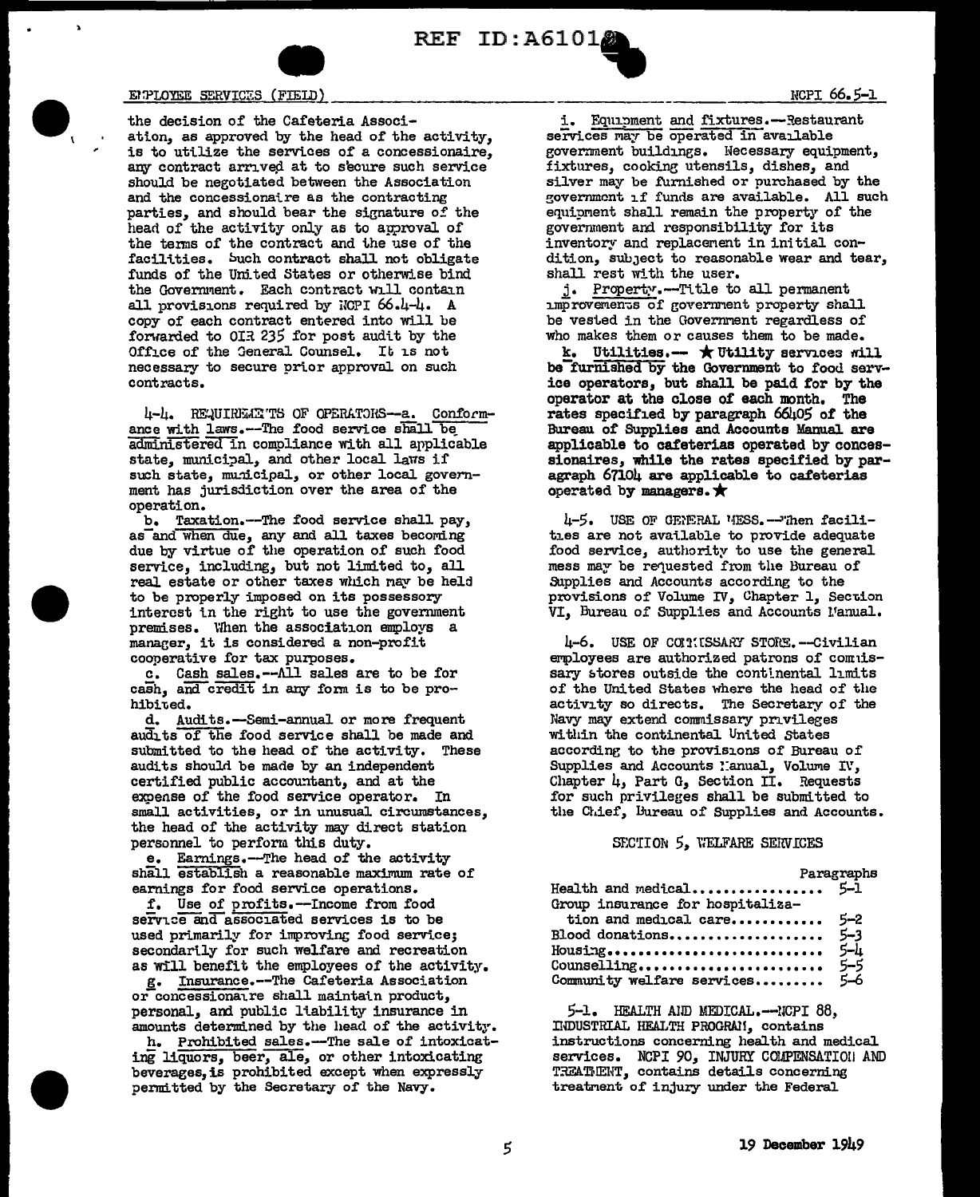



### ENPLOYEE SERVICES (FIELD)

the decision of the Cafeteria Association, as approved by the head of the activity, is to utilize the services of a concessionaire, any contract arrived at to secure such service should be negotiated between the Association and the concessionaire as the contracting parties, and should bear the signature of the head of the activity only as to approval of the terms of the contract and the use of the facilities. Such contract shall not obligate funds of the United States or otherwise bind the Government. Each contract will contain all provisions required by NCPI 66.4-4. A copy of each contract entered into will be forwarded to OIR 235 for post audit by the Office of the General Counsel. It is not necessary to secure prior approval on such contracts.

4-4. REQUIREME TS OF OPERATORS--a. Conformance with laws.--The food service shall be administered in compliance with all applicable state, municipal, and other local laws if such state, municipal, or other local government has jurisdiction over the area of the operation.

b. Taxation.--The food service shall pay, as and when due, any and all taxes becoming<br>due by virtue of the operation of such food service, including, but not limited to, all real estate or other taxes which may be held to be properly imposed on its possessory interest in the right to use the government premises. When the association employs a manager, it is considered a non-profit cooperative for tax purposes.

c. Cash sales.--All sales are to be for cash, and credit in any form is to be prohibited.

d. Audits.-Semi-annual or more frequent audits of the food service shall be made and submitted to the head of the activity. These audits should be made by an independent certified public accountant, and at the expense of the food service operator. In small activities, or in unusual circumstances, the head of the activity may direct station personnel to perform this duty.

e. Earnings.-The head of the activity shall establish a reasonable maximum rate of earnings for food service operations.

f. Use of profits.-Income from food service and associated services is to be used primarily for improving food service; secondarily for such welfare and recreation as will benefit the employees of the activity.

g. Insurance.--The Cafeteria Association or concessionar re shall maintain product, personal, and public liability insurance in amounts determined by the head of the activity.

h. Prohibited sales.--The sale of intoxicating liquors, beer, ale, or other intoxicating beverages, is prohibited except when expressly permitted by the Secretary of the Navy.

i. Equipment and fixtures.--Restaurant services may be operated in available government buildings. Necessary equipment, fixtures, cooking utensils, dishes, and silver may be furnished or purchased by the government if funds are available. All such equipment shall remain the property of the government and responsibility for its inventory and replacement in initial condition, subject to reasonable wear and tear, shall rest with the user.

j. Property.--Title to all permanent improvements of government property shall be vested in the Government regardless of who makes them or causes them to be made.

k. Utilities.--  $\star$  Utility services will be furnished by the Government to food service operators, but shall be paid for by the operator at the close of each month. The rates specified by paragraph 66405 of the Bureau of Supplies and Accounts Manual are applicable to cafeterias operated by concessionaires, while the rates specified by paragraph 6710h are applicable to cafeterias operated by managers.  $\bigstar$ 

4-5. USE OF GENERAL MESS.--Then facilities are not available to provide adequate food service, authority to use the general mess may be requested from the Bureau of Supplies and Accounts according to the provisions of Volume IV, Chapter 1, Section VI, Bureau of Supplies and Accounts Manual.

4-6. USE OF COLIESSARY STORE.--Civilian employees are authorized patrons of comnissary stores outside the continental limits of the United States where the head of the activity so directs. The Secretary of the Navy may extend commissary privileges within the continental United States according to the provisions of Bureau of Supplies and Accounts lanual, Volume IV, Chapter 4, Part G, Section II. Requests for such privileges shall be submitted to the Chief, Bureau of Supplies and Accounts.

### SECTION 5, WELFARE SERVICES

|                                     | Paragrapha |
|-------------------------------------|------------|
| Health and medical $5-\overline{1}$ |            |
| Group insurance for hospitaliza-    |            |
| tion and medical care 5-2           |            |
| Blood donations5-3                  |            |
|                                     |            |
| Counselling                         | $5 - 5$    |
| Community welfare services 5-6      |            |

5-1. HEALTH AND MEDICAL.--NCPI 88. INDUSTRIAL HEALTH PROGRAM, contains instructions concerning health and medical services. NCPI 90, INJURY COLPENSATION AND TREATMENT, contains details concerning treatment of injury under the Federal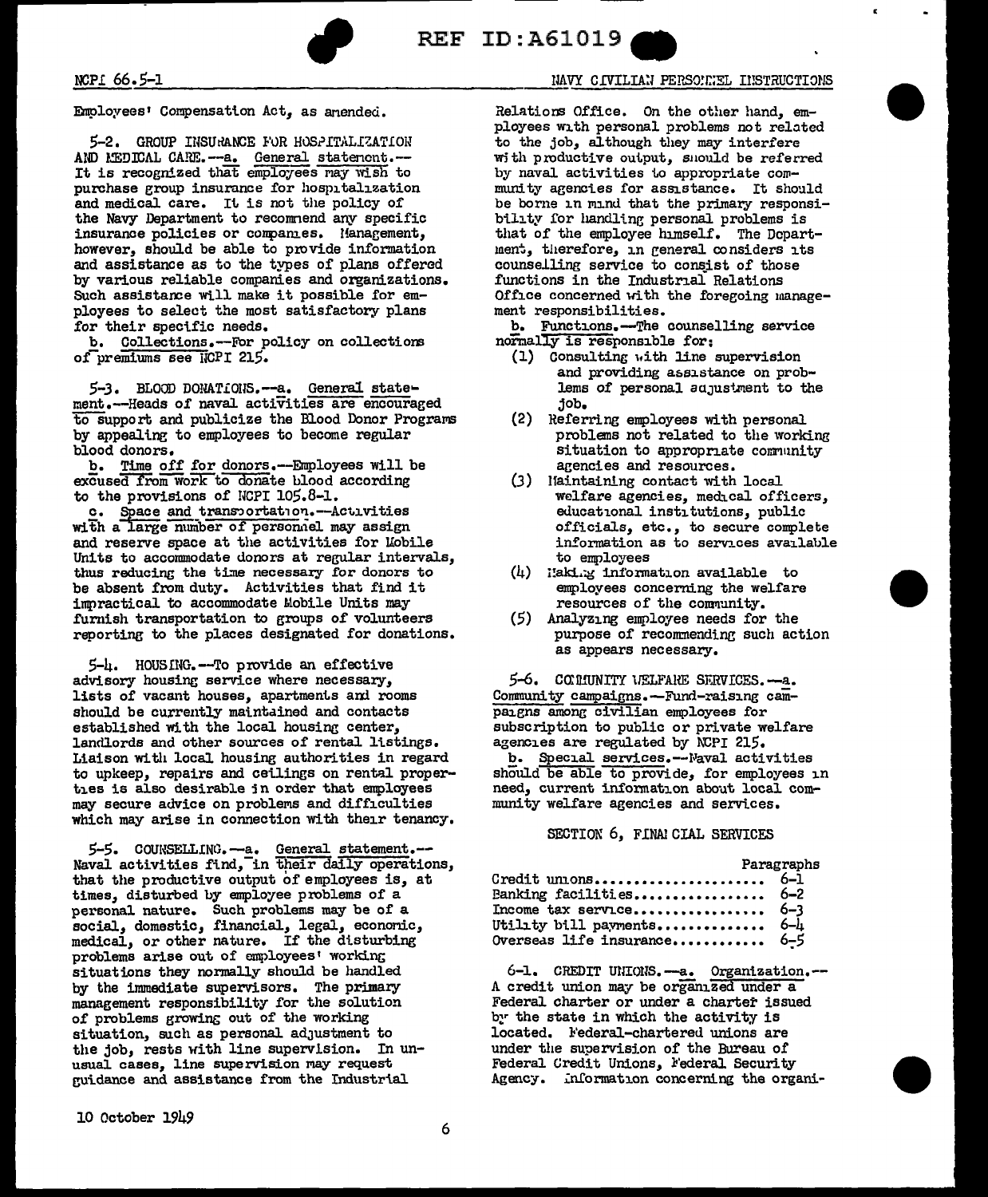

REF ID:A61019

Employees' Compensation Act, as anended.

5-2. GROUP INSURANCE FOR HOSPITALIZATION AND MEDICAL CARE.--- a. General statement.--It is recognized that employees may wish to purchase group insurance for hospitalization and medical care. It is not the policy of the Navy Department to recommend any specific insurance policies or companies. Management, however, should be able to provide information and assistance as to the types of plans offered by various reliable companies and organizations. Such assistance will make it possible for employees to select the most satisfactory plans for their specific needs.

b. Collections.--For policy on collections of premiums see NCPI 215.

5-3. BLOOD DONATIONS.--a. General statement.--Heads of naval activities are encouraged to support and publicize the Blood Donor Programs by appealing to employees to become regular blood donors.

b. Time off for donors.--Employees will be excused from work to donate blood according to the provisions of NCPI 105.8-1.

c. Space and transportation. -- Activities with a large number of personnel may assign and reserve space at the activities for Lobile Units to accommodate donors at regular intervals, thus reducing the time necessary for donors to be absent from duty. Activities that find it impractical to accommodate Mobile Units may furnish transportation to groups of volunteers reporting to the places designated for donations.

5-4. HOUSING. -- To provide an effective advisory housing service where necessary, lists of vacant houses, apartments and rooms should be currently maintained and contacts established with the local housing center, landlords and other sources of rental listings. Liaison with local housing authorities in regard to upkeep, repairs and ceilings on rental properthes is also desirable in order that employees may secure advice on problems and difficulties which may arise in connection with their tenancy.

5-5. COUNSELLING. - a. General statement. --Naval activities find, in their daily operations, that the productive output of employees is, at times, disturbed by employee problems of a personal nature. Such problems may be of a<br>social, domestic, financial, legal, economic,<br>medical, or other nature. If the disturbing problems arise out of employees' working situations they normally should be handled by the immediate supervisors. The primary management responsibility for the solution of problems growing out of the working situation, such as personal adjustment to the job, rests with line supervision. In unusual cases, line supervision may request guidance and assistance from the Industrial

# NAVY CIVILIAN PERSONNEL INSTRUCTIONS

Relations Office. On the other hand, employees with personal problems not related to the job, although they may interfere with productive output, should be referred by naval activities to appropriate community agencies for assistance. It should be borne in mind that the primary responsibility for handling personal problems is that of the employee himself. The Department, therefore, in general considers its counselling service to consist of those functions in the Industrial Relations Office concerned with the foregoing management responsibilities.

b. Functions.--The counselling service normally is responsible for:

- (1) Consulting with line supervision and providing assistance on problems of personal adjustment to the job.
- (2) Referring employees with personal problems not related to the working situation to appropriate community agencies and resources.
- (3) Haintaining contact with local welfare agencies, medical officers, educational institutions, public officials, etc., to secure complete information as to services available to employees
- $(4)$  laking information available to employees concerning the welfare resources of the community.
- (5) Analyzing employee needs for the purpose of recommending such action as appears necessary.

5-6. COMUNITY UELFARE SERVICES. -- a. Community campaigns.-Fund-raising campaigns among civilian employees for subscription to public or private welfare agencies are regulated by NCPI 215.

b. Special services.--Naval activities should be able to provide, for employees in need, current information about local community welfare agencies and services.

## SECTION 6, FINAI CIAL SERVICES

|                             | Paragraphs |
|-----------------------------|------------|
| Credit unions 6-1           |            |
| Banking facilities $6-2$    |            |
| Income tax service $6-3$    |            |
| Utility bill payments 6-4   |            |
| Overseas life insurance 6-5 |            |

6-1. CREDIT UNIONS.--a. Organization.--A credit union may be organized under a Federal charter or under a charter issued by the state in which the activity is located. Federal-chartered unions are under the supervision of the Bureau of Federal Credit Unions, Federal Security Agency. Information concerning the organi-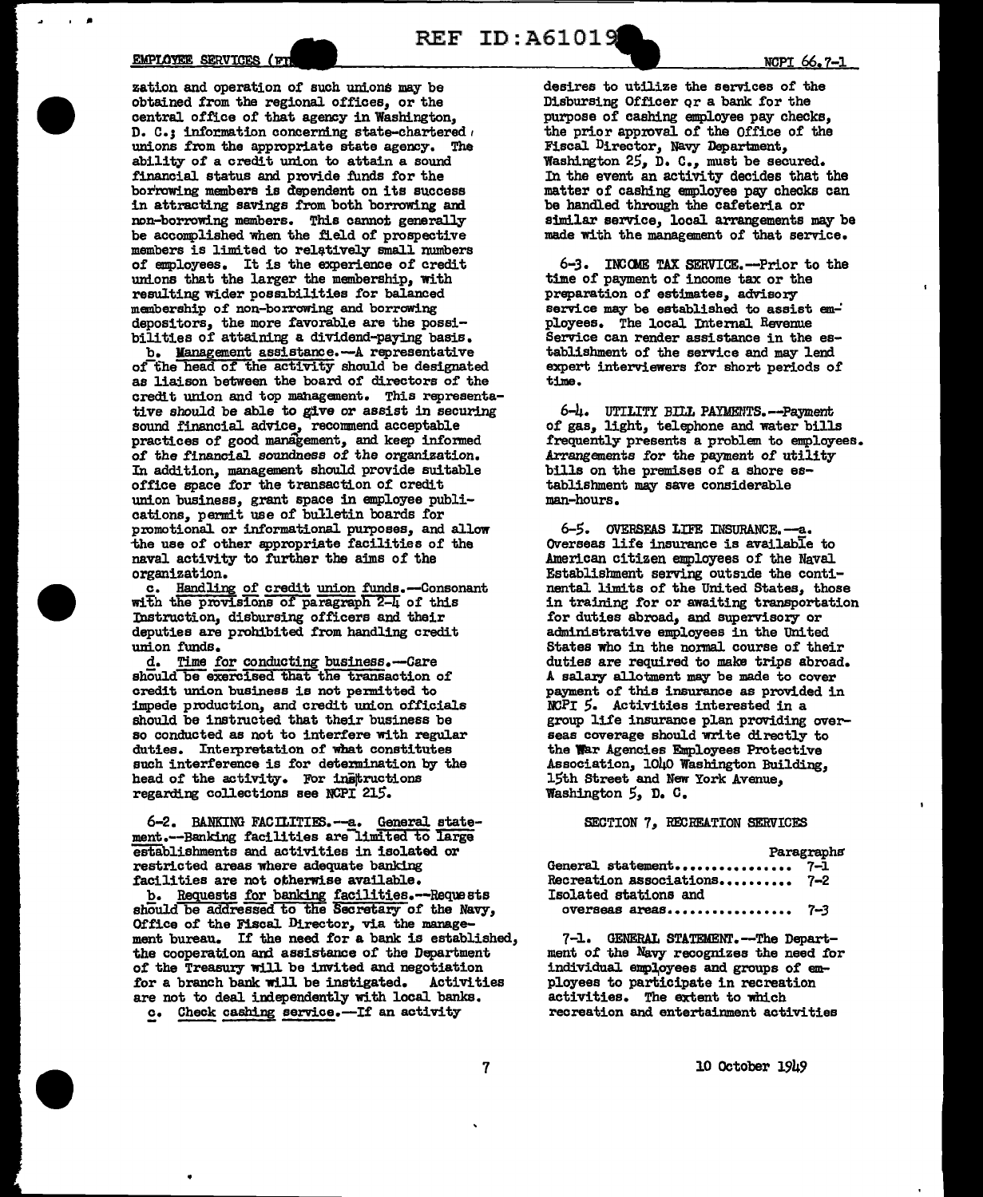### EMPLOYEE SERVICES ( $v_{\text{L}}$ )

 $\overline{\phantom{a}}$ 

•

•

•

zation and operation or such unions may be obtained from the regional offices, or the central office of that agency in Washington, D. C.: information concerning state-chartered  $\overline{I}$ unions from the appropriate state agency. The ability of a credit union to attain a sound financial status and provide funds for the borrowing members is dependent on its success in attracting savings from both borrowing and non-borrowing members. This cannot generally be accomplished when the field of prospective members is limited to relatively small numbers of employees. It is the experience of credit unions that the larger the membership, with resulting Wider possibilities for balanced membership of non-borrowing and borrowing depositors, the more favorable are the possibilities of attaining a dividend-paying basis.

b. Management assistance.-A representative of the head of the activity should be designated as liaison between the board of directors of the credit union and top mahagement, This representative should be able to give or assist in securing sound financial advice, recommend acceptable practices of good management, and keep informed of the financial soundness of the organization. In addition, management should provide suitable office space for the transaction of credit union business, grant space in employee publications, permit use of bulletin boards for promotional or informational purposes, and allow -the use of other appropriate facilities of the naval activity to further the aims of the organization.

c. Handling of credit union funds.-Consonant with the provisions of paragraph 2-4 of this Instruction, disbursing officers and their deputies are prohibited from handling credit union funds,

d. Time for conducting business.-Care should be exercised that the transaction of credit union business is not pennitted to impede production, and credit union officials should be instructed that their business be so conducted as not to interfere with regular duties, Interpretation of what constitutes such interference is for detemination by the head of the activity. For instructions regarding collections see NCPI 21S.

6-2. BANKING FACILITIES.--a., General statement.--Banking facilities are limited to large establishments and activities in isolated or restricted areas where adequate banking facilities are not otherwise available.

b, Requests for banking facilities.--Requests should be addressed to the Secretary of the Navy, Office of the Fiscal Director, via the management bureau. If the need for a bank is established, the cooperation and assistance of the Department of the Treasury will be invited and negotiation<br>for a branch bank will be instigated. Activities for a branch bank will be instigated. Activities are not to deal independently with local banks.

c. Check cashing service.-If an activity

desires to uti1ize the services of the

REF ID: A61019

Disbursing Officer qr a bank for the purpose of cashing employee pay checks, the prior approval of the Office of the Fiscal Director, Navy Department, Washington 25, D. c., must be secured, In the event an activity decides that the matter of cashing employee pay checks can be handled through the cafeteria or similar service, local arrangements may be made with the management of that service.

6-3. INCOME TAX SERVICE. -- Prior to the time of payment of income tax or the preparation of estimates, advisory service may be established to assist employees. The local Internal Revenue Service can render assistance in the es- tablishment of the service and may lend expert interviewers for short periods of time.

6-4. UTILITY BILL PAYMENTS. -- Payment of gas, light, telephone and water bills frequently presents a problem to employees, Arrangements for the payment of utility<br>bills on the premises of a shore establishment may save considerable man-hours.

*6-5.* OVERSFAS LIFE DiSURANCE.--a. Overseas life insurance is available to American citizen employees of the Naval Establishment serving outside the continental. limits of the United States, those in training for or awaiting transportation for duties abroad, and supervisory or administrative employees in the United States who in the normal course of their duties are required to make trips abroad, *<sup>A</sup>*salary allotment may be made to cover payment of this insurance as provided in group life insurance plan providing over-<br>seas coverage should write directly to the War Agencies Employees Protective Association, 1040 Washington Building, 15th Street and New York Avenue. Washington *5,* D, C,

### SECTION 7, RECREATION SERVICES

### **Paragraphs**

| General statement       | $7 - 1$ |
|-------------------------|---------|
| Recreation associations | $7 - 2$ |
| Isolated stations and   |         |
| overseas areas          | -7-3    |

7-1. GENERAL STATEMENT.-The Department of the Navy recognizes the need for individual employees and groups of employees to participate in recreation activities, The extent to which recreation and entertainment activities